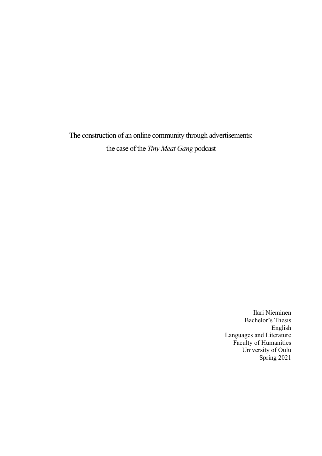The construction of an online community through advertisements:

the case of the *Tiny Meat Gang* podcast

Ilari Nieminen Bachelor's Thesis English Languages and Literature Faculty of Humanities University of Oulu Spring 2021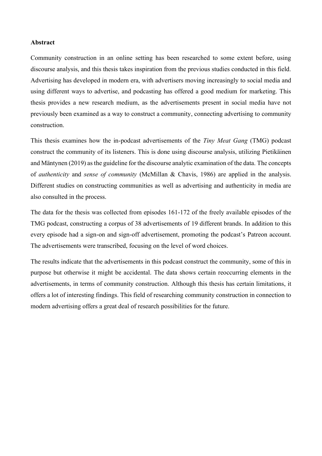#### **Abstract**

Community construction in an online setting has been researched to some extent before, using discourse analysis, and this thesis takes inspiration from the previous studies conducted in this field. Advertising has developed in modern era, with advertisers moving increasingly to social media and using different ways to advertise, and podcasting has offered a good medium for marketing. This thesis provides a new research medium, as the advertisements present in social media have not previously been examined as a way to construct a community, connecting advertising to community construction.

This thesis examines how the in-podcast advertisements of the *Tiny Meat Gang* (TMG) podcast construct the community of its listeners. This is done using discourse analysis, utilizing Pietikäinen and Mäntynen (2019) as the guideline for the discourse analytic examination of the data. The concepts of *authenticity* and *sense of community* (McMillan & Chavis, 1986) are applied in the analysis. Different studies on constructing communities as well as advertising and authenticity in media are also consulted in the process.

The data for the thesis was collected from episodes 161-172 of the freely available episodes of the TMG podcast, constructing a corpus of 38 advertisements of 19 different brands. In addition to this every episode had a sign-on and sign-off advertisement, promoting the podcast's Patreon account. The advertisements were transcribed, focusing on the level of word choices.

The results indicate that the advertisements in this podcast construct the community, some of this in purpose but otherwise it might be accidental. The data shows certain reoccurring elements in the advertisements, in terms of community construction. Although this thesis has certain limitations, it offers a lot of interesting findings. This field of researching community construction in connection to modern advertising offers a great deal of research possibilities for the future.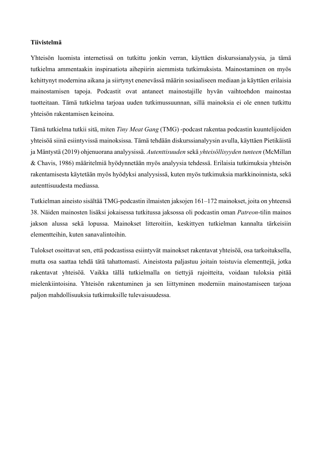### **Tiivistelmä**

Yhteisön luomista internetissä on tutkittu jonkin verran, käyttäen diskurssianalyysia, ja tämä tutkielma ammentaakin inspiraatiota aihepiirin aiemmista tutkimuksista. Mainostaminen on myös kehittynyt modernina aikana ja siirtynyt enenevässä määrin sosiaaliseen mediaan ja käyttäen erilaisia mainostamisen tapoja. Podcastit ovat antaneet mainostajille hyvän vaihtoehdon mainostaa tuotteitaan. Tämä tutkielma tarjoaa uuden tutkimussuunnan, sillä mainoksia ei ole ennen tutkittu yhteisön rakentamisen keinoina.

Tämä tutkielma tutkii sitä, miten *Tiny Meat Gang* (TMG) -podcast rakentaa podcastin kuuntelijoiden yhteisöä siinä esiintyvissä mainoksissa. Tämä tehdään diskurssianalyysin avulla, käyttäen Pietikäistä ja Mäntystä (2019) ohjenuorana analyysissä. *Autenttisuuden* sekä *yhteisöllisyyden tunteen* (McMillan & Chavis, 1986) määritelmiä hyödynnetään myös analyysia tehdessä. Erilaisia tutkimuksia yhteisön rakentamisesta käytetään myös hyödyksi analyysissä, kuten myös tutkimuksia markkinoinnista, sekä autenttisuudesta mediassa.

Tutkielman aineisto sisältää TMG-podcastin ilmaisten jaksojen 161–172 mainokset, joita on yhteensä 38. Näiden mainosten lisäksi jokaisessa tutkitussa jaksossa oli podcastin oman *Patreon*-tilin mainos jakson alussa sekä lopussa. Mainokset litteroitiin, keskittyen tutkielman kannalta tärkeisiin elementteihin, kuten sanavalintoihin.

Tulokset osoittavat sen, että podcastissa esiintyvät mainokset rakentavat yhteisöä, osa tarkoituksella, mutta osa saattaa tehdä tätä tahattomasti. Aineistosta paljastuu joitain toistuvia elementtejä, jotka rakentavat yhteisöä. Vaikka tällä tutkielmalla on tiettyjä rajoitteita, voidaan tuloksia pitää mielenkiintoisina. Yhteisön rakentuminen ja sen liittyminen moderniin mainostamiseen tarjoaa paljon mahdollisuuksia tutkimuksille tulevaisuudessa.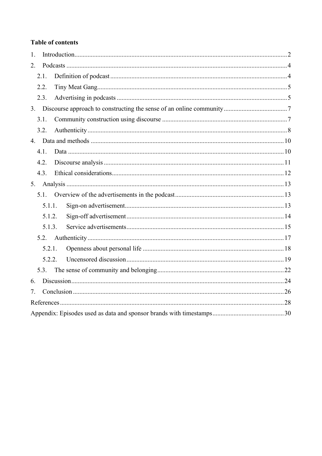# **Table of contents**

| 1.     |  |
|--------|--|
| 2.     |  |
| 2.1.   |  |
| 2.2.   |  |
| 2.3.   |  |
|        |  |
| 3.1.   |  |
| 3.2.   |  |
|        |  |
| 4.1.   |  |
| 4.2.   |  |
| 4.3.   |  |
| 5.     |  |
| 5.1.   |  |
| 5.1.1. |  |
| 5.1.2. |  |
| 5.1.3. |  |
|        |  |
| 5.2.1. |  |
| 5.2.2. |  |
| 5.3.   |  |
| 6.     |  |
| 7.     |  |
|        |  |
|        |  |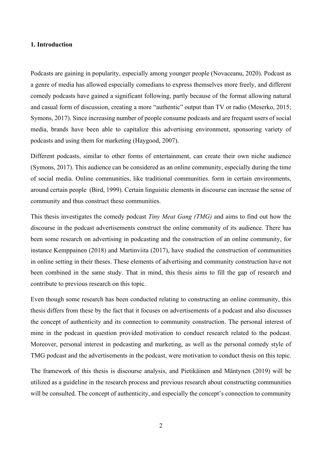## <span id="page-4-0"></span>**1. Introduction**

Podcasts are gaining in popularity, especially among younger people (Novaceanu, 2020). Podcast as a genre of media has allowed especially comedians to express themselves more freely, and different comedy podcasts have gained a significant following, partly because of the format allowing natural and casual form of discussion, creating a more "authentic" output than TV or radio (Meserko, 2015; Symons, 2017). Since increasing number of people consume podcasts and are frequent users of social media, brands have been able to capitalize this advertising environment, sponsoring variety of podcasts and using them for marketing (Haygood, 2007).

Different podcasts, similar to other forms of entertainment, can create their own niche audience (Symons, 2017). This audience can be considered as an online community, especially during the time of social media. Online communities, like traditional communities. form in certain environments, around certain people (Bird, 1999). Certain linguistic elements in discourse can increase the sense of community and thus construct these communities.

This thesis investigates the comedy podcast *Tiny Meat Gang (TMG)* and aims to find out how the discourse in the podcast advertisements construct the online community of its audience. There has been some research on advertising in podcasting and the construction of an online community, for instance Kemppainen (2018) and Martinviita (2017), have studied the construction of communities in online setting in their theses. These elements of advertising and community construction have not been combined in the same study. That in mind, this thesis aims to fill the gap of research and contribute to previous research on this topic.

Even though some research has been conducted relating to constructing an online community, this thesis differs from these by the fact that it focuses on advertisements of a podcast and also discusses the concept of authenticity and its connection to community construction. The personal interest of mine in the podcast in question provided motivation to conduct research related to the podcast. Moreover, personal interest in podcasting and marketing, as well as the personal comedy style of TMG podcast and the advertisements in the podcast, were motivation to conduct thesis on this topic.

The framework of this thesis is discourse analysis, and Pietikäinen and Mäntynen (2019) will be utilized as a guideline in the research process and previous research about constructing communities will be consulted. The concept of authenticity, and especially the concept's connection to community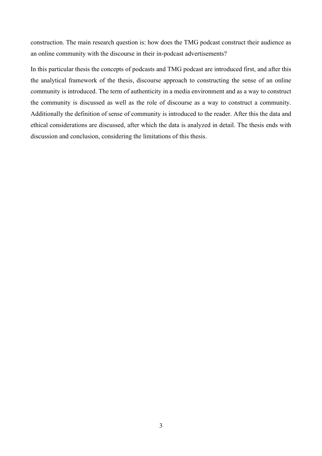construction. The main research question is: how does the TMG podcast construct their audience as an online community with the discourse in their in-podcast advertisements?

In this particular thesis the concepts of podcasts and TMG podcast are introduced first, and after this the analytical framework of the thesis, discourse approach to constructing the sense of an online community is introduced. The term of authenticity in a media environment and as a way to construct the community is discussed as well as the role of discourse as a way to construct a community. Additionally the definition of sense of community is introduced to the reader. After this the data and ethical considerations are discussed, after which the data is analyzed in detail. The thesis ends with discussion and conclusion, considering the limitations of this thesis.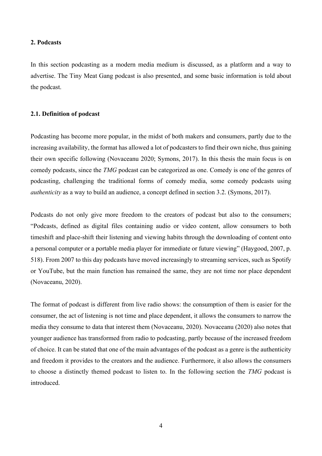#### <span id="page-6-0"></span>**2. Podcasts**

In this section podcasting as a modern media medium is discussed, as a platform and a way to advertise. The Tiny Meat Gang podcast is also presented, and some basic information is told about the podcast.

### <span id="page-6-1"></span>**2.1. Definition of podcast**

Podcasting has become more popular, in the midst of both makers and consumers, partly due to the increasing availability, the format has allowed a lot of podcasters to find their own niche, thus gaining their own specific following (Novaceanu 2020; Symons, 2017). In this thesis the main focus is on comedy podcasts, since the *TMG* podcast can be categorized as one. Comedy is one of the genres of podcasting, challenging the traditional forms of comedy media, some comedy podcasts using *authenticity* as a way to build an audience, a concept defined in section 3.2. (Symons, 2017).

Podcasts do not only give more freedom to the creators of podcast but also to the consumers; "Podcasts, defined as digital files containing audio or video content, allow consumers to both timeshift and place-shift their listening and viewing habits through the downloading of content onto a personal computer or a portable media player for immediate or future viewing" (Haygood, 2007, p. 518). From 2007 to this day podcasts have moved increasingly to streaming services, such as Spotify or YouTube, but the main function has remained the same, they are not time nor place dependent (Novaceanu, 2020).

The format of podcast is different from live radio shows: the consumption of them is easier for the consumer, the act of listening is not time and place dependent, it allows the consumers to narrow the media they consume to data that interest them (Novaceanu, 2020). Novaceanu (2020) also notes that younger audience has transformed from radio to podcasting, partly because of the increased freedom of choice. It can be stated that one of the main advantages of the podcast as a genre is the authenticity and freedom it provides to the creators and the audience. Furthermore, it also allows the consumers to choose a distinctly themed podcast to listen to. In the following section the *TMG* podcast is introduced.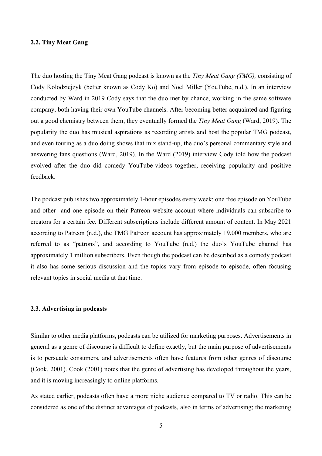#### <span id="page-7-0"></span>**2.2. Tiny Meat Gang**

The duo hosting the Tiny Meat Gang podcast is known as the *Tiny Meat Gang (TMG),* consisting of Cody Kolodziejzyk (better known as Cody Ko) and Noel Miller (YouTube, n.d.). In an interview conducted by Ward in 2019 Cody says that the duo met by chance, working in the same software company, both having their own YouTube channels. After becoming better acquainted and figuring out a good chemistry between them, they eventually formed the *Tiny Meat Gang* (Ward, 2019). The popularity the duo has musical aspirations as recording artists and host the popular TMG podcast, and even touring as a duo doing shows that mix stand-up, the duo's personal commentary style and answering fans questions (Ward, 2019). In the Ward (2019) interview Cody told how the podcast evolved after the duo did comedy YouTube-videos together, receiving popularity and positive feedback.

The podcast publishes two approximately 1-hour episodes every week: one free episode on YouTube and other and one episode on their Patreon website account where individuals can subscribe to creators for a certain fee. Different subscriptions include different amount of content. In May 2021 according to Patreon (n.d.), the TMG Patreon account has approximately 19,000 members, who are referred to as "patrons", and according to YouTube (n.d.) the duo's YouTube channel has approximately 1 million subscribers. Even though the podcast can be described as a comedy podcast it also has some serious discussion and the topics vary from episode to episode, often focusing relevant topics in social media at that time.

#### <span id="page-7-1"></span>**2.3. Advertising in podcasts**

Similar to other media platforms, podcasts can be utilized for marketing purposes. Advertisements in general as a genre of discourse is difficult to define exactly, but the main purpose of advertisements is to persuade consumers, and advertisements often have features from other genres of discourse (Cook, 2001). Cook (2001) notes that the genre of advertising has developed throughout the years, and it is moving increasingly to online platforms.

As stated earlier, podcasts often have a more niche audience compared to TV or radio. This can be considered as one of the distinct advantages of podcasts, also in terms of advertising; the marketing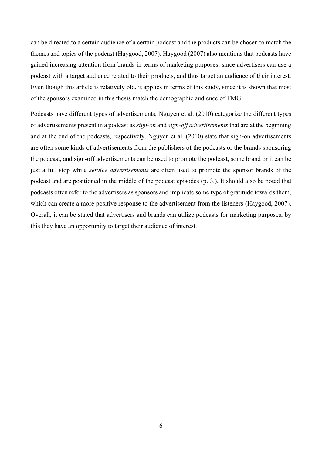can be directed to a certain audience of a certain podcast and the products can be chosen to match the themes and topics of the podcast (Haygood, 2007). Haygood (2007) also mentions that podcasts have gained increasing attention from brands in terms of marketing purposes, since advertisers can use a podcast with a target audience related to their products, and thus target an audience of their interest. Even though this article is relatively old, it applies in terms of this study, since it is shown that most of the sponsors examined in this thesis match the demographic audience of TMG.

Podcasts have different types of advertisements, Nguyen et al. (2010) categorize the different types of advertisements present in a podcast as *sign-on* and *sign-off advertisements* that are at the beginning and at the end of the podcasts, respectively. Nguyen et al. (2010) state that sign-on advertisements are often some kinds of advertisements from the publishers of the podcasts or the brands sponsoring the podcast, and sign-off advertisements can be used to promote the podcast, some brand or it can be just a full stop while *service advertisements* are often used to promote the sponsor brands of the podcast and are positioned in the middle of the podcast episodes (p. 3.). It should also be noted that podcasts often refer to the advertisers as sponsors and implicate some type of gratitude towards them, which can create a more positive response to the advertisement from the listeners (Haygood, 2007). Overall, it can be stated that advertisers and brands can utilize podcasts for marketing purposes, by this they have an opportunity to target their audience of interest.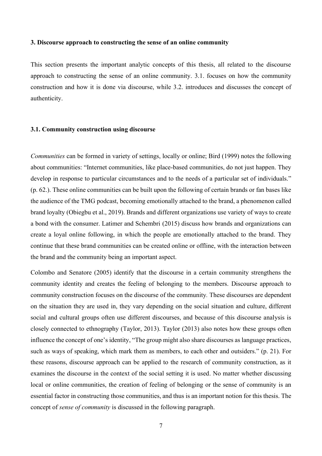#### <span id="page-9-0"></span>**3. Discourse approach to constructing the sense of an online community**

This section presents the important analytic concepts of this thesis, all related to the discourse approach to constructing the sense of an online community. 3.1. focuses on how the community construction and how it is done via discourse, while 3.2. introduces and discusses the concept of authenticity.

### <span id="page-9-1"></span>**3.1. Community construction using discourse**

*Communities* can be formed in variety of settings, locally or online; Bird (1999) notes the following about communities: "Internet communities, like place-based communities, do not just happen. They develop in response to particular circumstances and to the needs of a particular set of individuals." (p. 62.). These online communities can be built upon the following of certain brands or fan bases like the audience of the TMG podcast, becoming emotionally attached to the brand, a phenomenon called brand loyalty (Obiegbu et al., 2019). Brands and different organizations use variety of ways to create a bond with the consumer. Latimer and Schembri (2015) discuss how brands and organizations can create a loyal online following, in which the people are emotionally attached to the brand. They continue that these brand communities can be created online or offline, with the interaction between the brand and the community being an important aspect.

Colombo and Senatore (2005) identify that the discourse in a certain community strengthens the community identity and creates the feeling of belonging to the members. Discourse approach to community construction focuses on the discourse of the community*.* These discourses are dependent on the situation they are used in, they vary depending on the social situation and culture, different social and cultural groups often use different discourses, and because of this discourse analysis is closely connected to ethnography (Taylor, 2013). Taylor (2013) also notes how these groups often influence the concept of one's identity, "The group might also share discourses as language practices, such as ways of speaking, which mark them as members, to each other and outsiders." (p. 21). For these reasons, discourse approach can be applied to the research of community construction, as it examines the discourse in the context of the social setting it is used. No matter whether discussing local or online communities, the creation of feeling of belonging or the sense of community is an essential factor in constructing those communities, and thus is an important notion for this thesis. The concept of *sense of community* is discussed in the following paragraph.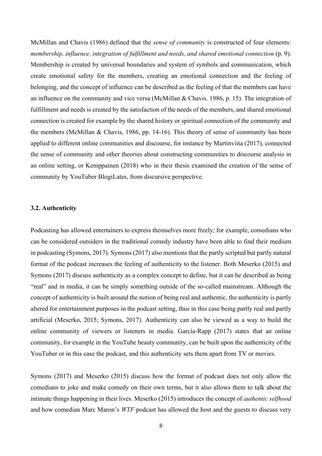McMillan and Chavis (1986) defined that the *sense of community* is constructed of four elements: *membership, influence, integration of fulfillment and needs, and shared emotional connection (p. 9).* Membership is created by universal boundaries and system of symbols and communication, which create emotional safety for the members, creating an emotional connection and the feeling of belonging, and the concept of influence can be described as the feeling of that the members can have an influence on the community and vice versa (McMillan & Chavis. 1986, p. 15). The integration of fulfillment and needs is created by the satisfaction of the needs of the members, and shared emotional connection is created for example by the shared history or spiritual connection of the community and the members (McMillan & Chavis, 1986, pp. 14-16). This theory of sense of community has been applied to different online communities and discourse, for instance by Martinviita (2017), connected the sense of community and other theories about constructing communities to discourse analysis in an online setting, or Kemppainen (2018) who in their thesis examined the creation of the sense of community by YouTuber BlogiLates, from discursive perspective.

### <span id="page-10-0"></span>**3.2. Authenticity**

Podcasting has allowed entertainers to express themselves more freely; for example, comedians who can be considered outsiders in the traditional comedy industry have been able to find their medium in podcasting (Symons, 2017). Symons (2017) also mentions that the partly scripted but partly natural format of the podcast increases the feeling of authenticity to the listener. Both Meserko (2015) and Symons (2017) discuss authenticity as a complex concept to define, but it can be described as being "real" and in media, it can be simply something outside of the so-called mainstream. Although the concept of authenticity is built around the notion of being real and authentic, the authenticity is partly altered for entertainment purposes in the podcast setting, thus in this case being partly real and partly artificial (Meserko, 2015; Symons, 2017). Authenticity can also be viewed as a way to build the online community of viewers or listeners in media. García-Rapp (2017) states that an online community, for example in the YouTube beauty community, can be built upon the authenticity of the YouTuber or in this case the podcast, and this authenticity sets them apart from TV or movies.

Symons (2017) and Meserko (2015) discuss how the format of podcast does not only allow the comedians to joke and make comedy on their own terms, but it also allows them to talk about the intimate things happening in their lives. Meserko (2015) introduces the concept of *authentic selfhood* and how comedian Marc Maron's *WTF* podcast has allowed the host and the guests to discuss very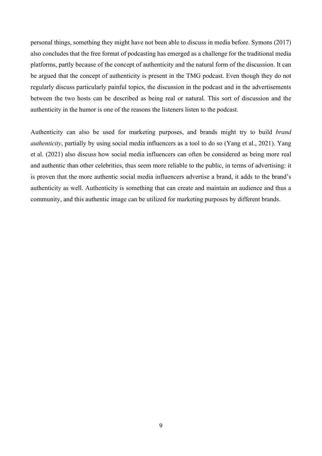personal things, something they might have not been able to discuss in media before. Symons (2017) also concludes that the free format of podcasting has emerged as a challenge for the traditional media platforms, partly because of the concept of authenticity and the natural form of the discussion. It can be argued that the concept of authenticity is present in the TMG podcast. Even though they do not regularly discuss particularly painful topics, the discussion in the podcast and in the advertisements between the two hosts can be described as being real or natural. This sort of discussion and the authenticity in the humor is one of the reasons the listeners listen to the podcast.

Authenticity can also be used for marketing purposes, and brands might try to build *brand authenticity*, partially by using social media influencers as a tool to do so (Yang et al., 2021). Yang et al. (2021) also discuss how social media influencers can often be considered as being more real and authentic than other celebrities, thus seem more reliable to the public, in terms of advertising: it is proven that the more authentic social media influencers advertise a brand, it adds to the brand's authenticity as well. Authenticity is something that can create and maintain an audience and thus a community, and this authentic image can be utilized for marketing purposes by different brands.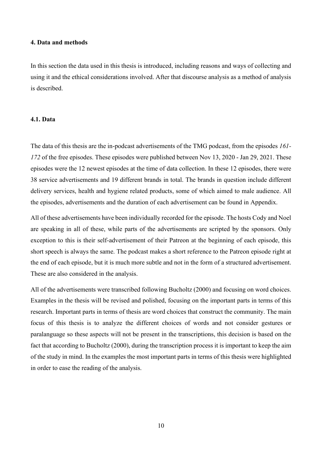## <span id="page-12-0"></span>**4. Data and methods**

In this section the data used in this thesis is introduced, including reasons and ways of collecting and using it and the ethical considerations involved. After that discourse analysis as a method of analysis is described.

### <span id="page-12-1"></span>**4.1. Data**

The data of this thesis are the in-podcast advertisements of the TMG podcast, from the episodes *161- 172* of the free episodes. These episodes were published between Nov 13, 2020 - Jan 29, 2021. These episodes were the 12 newest episodes at the time of data collection. In these 12 episodes, there were 38 service advertisements and 19 different brands in total. The brands in question include different delivery services, health and hygiene related products, some of which aimed to male audience. All the episodes, advertisements and the duration of each advertisement can be found in Appendix.

All of these advertisements have been individually recorded for the episode. The hosts Cody and Noel are speaking in all of these, while parts of the advertisements are scripted by the sponsors. Only exception to this is their self-advertisement of their Patreon at the beginning of each episode, this short speech is always the same. The podcast makes a short reference to the Patreon episode right at the end of each episode, but it is much more subtle and not in the form of a structured advertisement. These are also considered in the analysis.

All of the advertisements were transcribed following Bucholtz (2000) and focusing on word choices. Examples in the thesis will be revised and polished, focusing on the important parts in terms of this research. Important parts in terms of thesis are word choices that construct the community. The main focus of this thesis is to analyze the different choices of words and not consider gestures or paralanguage so these aspects will not be present in the transcriptions, this decision is based on the fact that according to Bucholtz (2000), during the transcription process it is important to keep the aim of the study in mind. In the examples the most important parts in terms of this thesis were highlighted in order to ease the reading of the analysis.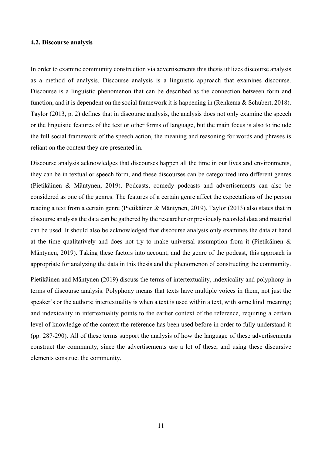#### <span id="page-13-0"></span>**4.2. Discourse analysis**

In order to examine community construction via advertisements this thesis utilizes discourse analysis as a method of analysis. Discourse analysis is a linguistic approach that examines discourse. Discourse is a linguistic phenomenon that can be described as the connection between form and function, and it is dependent on the social framework it is happening in (Renkema & Schubert, 2018). Taylor (2013, p. 2) defines that in discourse analysis, the analysis does not only examine the speech or the linguistic features of the text or other forms of language, but the main focus is also to include the full social framework of the speech action, the meaning and reasoning for words and phrases is reliant on the context they are presented in.

Discourse analysis acknowledges that discourses happen all the time in our lives and environments, they can be in textual or speech form, and these discourses can be categorized into different genres (Pietikäinen & Mäntynen, 2019). Podcasts, comedy podcasts and advertisements can also be considered as one of the genres. The features of a certain genre affect the expectations of the person reading a text from a certain genre (Pietikäinen & Mäntynen, 2019). Taylor (2013) also states that in discourse analysis the data can be gathered by the researcher or previously recorded data and material can be used. It should also be acknowledged that discourse analysis only examines the data at hand at the time qualitatively and does not try to make universal assumption from it (Pietikäinen & Mäntynen, 2019). Taking these factors into account, and the genre of the podcast, this approach is appropriate for analyzing the data in this thesis and the phenomenon of constructing the community.

Pietikäinen and Mäntynen (2019) discuss the terms of intertextuality, indexicality and polyphony in terms of discourse analysis. Polyphony means that texts have multiple voices in them, not just the speaker's or the authors; intertextuality is when a text is used within a text, with some kind meaning; and indexicality in intertextuality points to the earlier context of the reference, requiring a certain level of knowledge of the context the reference has been used before in order to fully understand it (pp. 287-290). All of these terms support the analysis of how the language of these advertisements construct the community, since the advertisements use a lot of these, and using these discursive elements construct the community.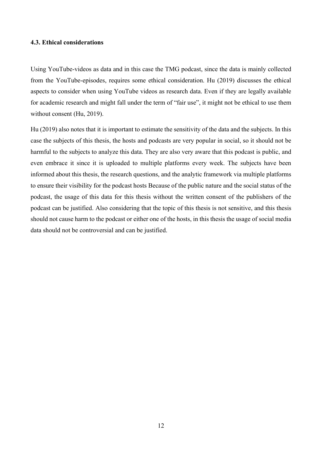## <span id="page-14-0"></span>**4.3. Ethical considerations**

Using YouTube-videos as data and in this case the TMG podcast, since the data is mainly collected from the YouTube-episodes, requires some ethical consideration. Hu (2019) discusses the ethical aspects to consider when using YouTube videos as research data. Even if they are legally available for academic research and might fall under the term of "fair use", it might not be ethical to use them without consent (Hu, 2019).

Hu (2019) also notes that it is important to estimate the sensitivity of the data and the subjects. In this case the subjects of this thesis, the hosts and podcasts are very popular in social, so it should not be harmful to the subjects to analyze this data. They are also very aware that this podcast is public, and even embrace it since it is uploaded to multiple platforms every week. The subjects have been informed about this thesis, the research questions, and the analytic framework via multiple platforms to ensure their visibility for the podcast hosts Because of the public nature and the social status of the podcast, the usage of this data for this thesis without the written consent of the publishers of the podcast can be justified. Also considering that the topic of this thesis is not sensitive, and this thesis should not cause harm to the podcast or either one of the hosts, in this thesis the usage of social media data should not be controversial and can be justified.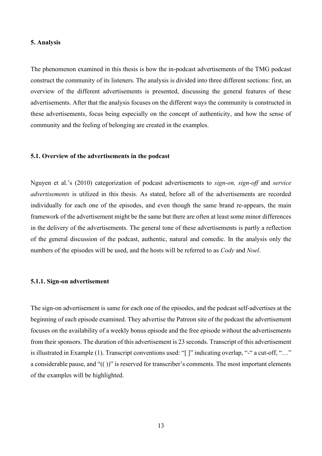### <span id="page-15-0"></span>**5. Analysis**

The phenomenon examined in this thesis is how the in-podcast advertisements of the TMG podcast construct the community of its listeners. The analysis is divided into three different sections: first, an overview of the different advertisements is presented, discussing the general features of these advertisements. After that the analysis focuses on the different ways the community is constructed in these advertisements, focus being especially on the concept of authenticity, and how the sense of community and the feeling of belonging are created in the examples.

#### <span id="page-15-1"></span>**5.1. Overview of the advertisements in the podcast**

Nguyen et al.'s (2010) categorization of podcast advertisements to *sign-on, sign-off* and *service advertisements* is utilized in this thesis. As stated, before all of the advertisements are recorded individually for each one of the episodes, and even though the same brand re-appears, the main framework of the advertisement might be the same but there are often at least some minor differences in the delivery of the advertisements. The general tone of these advertisements is partly a reflection of the general discussion of the podcast, authentic, natural and comedic. In the analysis only the numbers of the episodes will be used, and the hosts will be referred to as *Cody* and *Noel*.

#### <span id="page-15-2"></span>**5.1.1. Sign-on advertisement**

The sign-on advertisement is same for each one of the episodes, and the podcast self-advertises at the beginning of each episode examined. They advertise the Patreon site of the podcast the advertisement focuses on the availability of a weekly bonus episode and the free episode without the advertisements from their sponsors. The duration of this advertisement is 23 seconds. Transcript of this advertisement is illustrated in Example (1). Transcript conventions used: "[ ]" indicating overlap, "-" a cut-off, "…" a considerable pause, and "(( ))" is reserved for transcriber's comments. The most important elements of the examples will be highlighted.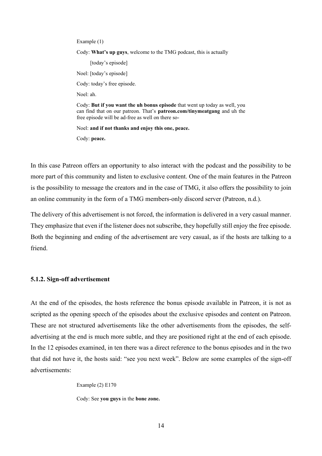Example (1)

Cody: **What's up guys**, welcome to the TMG podcast, this is actually

[today's episode] Noel: [today's episode] Cody: today's free episode. Noel: ah. Cody: **But if you want the uh bonus episode** that went up today as well, you can find that on our patreon. That's **patreon.com/tinymeatgang** and uh the free episode will be ad-free as well on there so-

Noel: **and if not thanks and enjoy this one, peace.**

Cody: **peace.**

In this case Patreon offers an opportunity to also interact with the podcast and the possibility to be more part of this community and listen to exclusive content. One of the main features in the Patreon is the possibility to message the creators and in the case of TMG, it also offers the possibility to join an online community in the form of a TMG members-only discord server (Patreon, n.d.).

The delivery of this advertisement is not forced, the information is delivered in a very casual manner. They emphasize that even if the listener does not subscribe, they hopefully still enjoy the free episode. Both the beginning and ending of the advertisement are very casual, as if the hosts are talking to a friend.

#### <span id="page-16-0"></span>**5.1.2. Sign-off advertisement**

At the end of the episodes, the hosts reference the bonus episode available in Patreon, it is not as scripted as the opening speech of the episodes about the exclusive episodes and content on Patreon. These are not structured advertisements like the other advertisements from the episodes, the selfadvertising at the end is much more subtle, and they are positioned right at the end of each episode. In the 12 episodes examined, in ten there was a direct reference to the bonus episodes and in the two that did not have it, the hosts said: "see you next week". Below are some examples of the sign-off advertisements:

Example (2) E170

Cody: See **you guys** in the **bone zone.**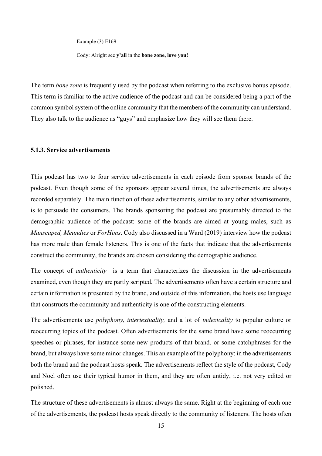Example (3) E169

Cody: Alright see **y'all** in the **bone zone, love you!**

The term *bone zone* is frequently used by the podcast when referring to the exclusive bonus episode. This term is familiar to the active audience of the podcast and can be considered being a part of the common symbol system of the online community that the members of the community can understand. They also talk to the audience as "guys" and emphasize how they will see them there.

## <span id="page-17-0"></span>**5.1.3. Service advertisements**

This podcast has two to four service advertisements in each episode from sponsor brands of the podcast. Even though some of the sponsors appear several times, the advertisements are always recorded separately. The main function of these advertisements, similar to any other advertisements, is to persuade the consumers. The brands sponsoring the podcast are presumably directed to the demographic audience of the podcast: some of the brands are aimed at young males, such as *Manscaped, Meundies* or *ForHims*. Cody also discussed in a Ward (2019) interview how the podcast has more male than female listeners. This is one of the facts that indicate that the advertisements construct the community, the brands are chosen considering the demographic audience.

The concept of *authenticity* is a term that characterizes the discussion in the advertisements examined, even though they are partly scripted. The advertisements often have a certain structure and certain information is presented by the brand, and outside of this information, the hosts use language that constructs the community and authenticity is one of the constructing elements.

The advertisements use *polyphony*, *intertextuality,* and a lot of *indexicality* to popular culture or reoccurring topics of the podcast. Often advertisements for the same brand have some reoccurring speeches or phrases, for instance some new products of that brand, or some catchphrases for the brand, but always have some minor changes. This an example of the polyphony: in the advertisements both the brand and the podcast hosts speak. The advertisements reflect the style of the podcast, Cody and Noel often use their typical humor in them, and they are often untidy, i.e. not very edited or polished.

The structure of these advertisements is almost always the same. Right at the beginning of each one of the advertisements, the podcast hosts speak directly to the community of listeners. The hosts often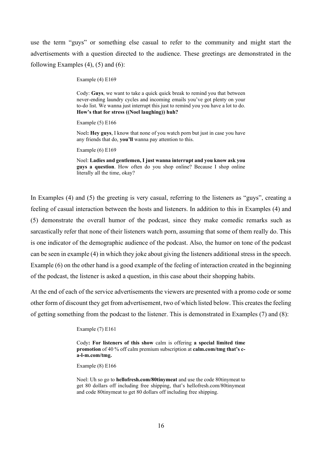use the term "guys" or something else casual to refer to the community and might start the advertisements with a question directed to the audience. These greetings are demonstrated in the following Examples  $(4)$ ,  $(5)$  and  $(6)$ :

Example (4) E169

Cody: **Guys**, we want to take a quick quick break to remind you that between never-ending laundry cycles and incoming emails you've got plenty on your to-do list. We wanna just interrupt this just to remind you you have a lot to do. **How's that for stress ((Noel laughing)) huh?**

Example (5) E166

Noel**: Hey guys**, I know that none of you watch porn but just in case you have any friends that do, **you'll** wanna pay attention to this.

Example (6) E169

Noel: **Ladies and gentlemen, I just wanna interrupt and you know ask you guys a question**. How often do you shop online? Because I shop online literally all the time, okay?

In Examples (4) and (5) the greeting is very casual, referring to the listeners as "guys", creating a feeling of casual interaction between the hosts and listeners. In addition to this in Examples (4) and (5) demonstrate the overall humor of the podcast, since they make comedic remarks such as sarcastically refer that none of their listeners watch porn, assuming that some of them really do. This is one indicator of the demographic audience of the podcast. Also, the humor on tone of the podcast can be seen in example (4) in which they joke about giving the listeners additional stress in the speech. Example (6) on the other hand is a good example of the feeling of interaction created in the beginning of the podcast, the listener is asked a question, in this case about their shopping habits.

At the end of each of the service advertisements the viewers are presented with a promo code or some other form of discount they get from advertisement, two of which listed below. This creates the feeling of getting something from the podcast to the listener. This is demonstrated in Examples (7) and (8):

Example (7) E161

Cody**: For listeners of this show** calm is offering **a special limited time promotion** of 40 % off calm premium subscription at **calm.com/tmg that's ca-l-m.com/tmg.**

Example (8) E166

Noel: Uh so go to **hellofresh.com/80tinymeat** and use the code 80tinymeat to get 80 dollars off including free shipping, that's hellofresh.com/80tinymeat and code 80tinymeat to get 80 dollars off including free shipping.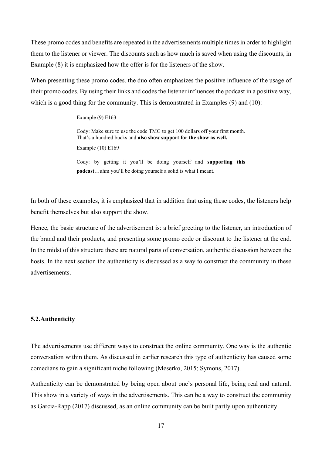These promo codes and benefits are repeated in the advertisements multiple times in order to highlight them to the listener or viewer. The discounts such as how much is saved when using the discounts, in Example (8) it is emphasized how the offer is for the listeners of the show.

When presenting these promo codes, the duo often emphasizes the positive influence of the usage of their promo codes. By using their links and codes the listener influences the podcast in a positive way, which is a good thing for the community. This is demonstrated in Examples (9) and (10):

Example (9) E163

Cody: Make sure to use the code TMG to get 100 dollars off your first month. That's a hundred bucks and **also show support for the show as well.**

Example (10) E169

Cody: by getting it you'll be doing yourself and **supporting this podcast**…uhm you'll be doing yourself a solid is what I meant.

In both of these examples, it is emphasized that in addition that using these codes, the listeners help benefit themselves but also support the show.

Hence, the basic structure of the advertisement is: a brief greeting to the listener, an introduction of the brand and their products, and presenting some promo code or discount to the listener at the end. In the midst of this structure there are natural parts of conversation, authentic discussion between the hosts. In the next section the authenticity is discussed as a way to construct the community in these advertisements.

### <span id="page-19-0"></span>**5.2.Authenticity**

The advertisements use different ways to construct the online community. One way is the authentic conversation within them. As discussed in earlier research this type of authenticity has caused some comedians to gain a significant niche following (Meserko, 2015; Symons, 2017).

Authenticity can be demonstrated by being open about one's personal life, being real and natural. This show in a variety of ways in the advertisements. This can be a way to construct the community as García-Rapp (2017) discussed, as an online community can be built partly upon authenticity.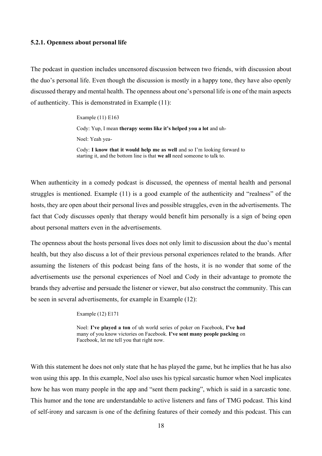#### <span id="page-20-0"></span>**5.2.1. Openness about personal life**

The podcast in question includes uncensored discussion between two friends, with discussion about the duo's personal life. Even though the discussion is mostly in a happy tone, they have also openly discussed therapy and mental health. The openness about one's personal life is one of the main aspects of authenticity. This is demonstrated in Example (11):

Example (11) E163

Cody: Yup, I mean **therapy seems like it's helped you a lot** and uh-

Noel: Yeah yea-

Cody: **I know that it would help me as well** and so I'm looking forward to starting it, and the bottom line is that **we all** need someone to talk to.

When authenticity in a comedy podcast is discussed, the openness of mental health and personal struggles is mentioned. Example (11) is a good example of the authenticity and "realness" of the hosts, they are open about their personal lives and possible struggles, even in the advertisements. The fact that Cody discusses openly that therapy would benefit him personally is a sign of being open about personal matters even in the advertisements.

The openness about the hosts personal lives does not only limit to discussion about the duo's mental health, but they also discuss a lot of their previous personal experiences related to the brands. After assuming the listeners of this podcast being fans of the hosts, it is no wonder that some of the advertisements use the personal experiences of Noel and Cody in their advantage to promote the brands they advertise and persuade the listener or viewer, but also construct the community. This can be seen in several advertisements, for example in Example (12):

Example (12) E171

Noel: **I've played a ton** of uh world series of poker on Facebook, **I've had**  many of you know victories on Facebook. **I've sent many people packing** on Facebook, let me tell you that right now.

With this statement he does not only state that he has played the game, but he implies that he has also won using this app. In this example, Noel also uses his typical sarcastic humor when Noel implicates how he has won many people in the app and "sent them packing", which is said in a sarcastic tone. This humor and the tone are understandable to active listeners and fans of TMG podcast. This kind of self-irony and sarcasm is one of the defining features of their comedy and this podcast. This can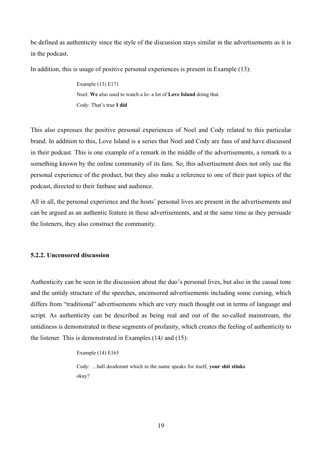be defined as authenticity since the style of the discussion stays similar in the advertisements as it is in the podcast.

In addition, this is usage of positive personal experiences is present in Example (13):

Example (13) E171 Noel: **We** also used to watch a lo- a lot of **Love Island** doing that. Cody: That's true **I did**

This also expresses the positive personal experiences of Noel and Cody related to this particular brand. In addition to this, Love Island is a series that Noel and Cody are fans of and have discussed in their podcast. This is one example of a remark in the middle of the advertisements, a remark to a something known by the online community of its fans. So, this advertisement does not only use the personal experience of the product, but they also make a reference to one of their past topics of the podcast, directed to their fanbase and audience.

All in all, the personal experience and the hosts' personal lives are present in the advertisements and can be argued as an authentic feature in these advertisements, and at the same time as they persuade the listeners, they also construct the community.

### <span id="page-21-0"></span>**5.2.2. Uncensored discussion**

Authenticity can be seen in the discussion about the duo's personal lives, but also in the casual tone and the untidy structure of the speeches, uncensored advertisements including some cursing, which differs from "traditional" advertisements which are very much thought out in terms of language and script. As authenticity can be described as being real and out of the so-called mainstream, the untidiness is demonstrated in these segments of profanity, which creates the feeling of authenticity to the listener. This is demonstrated in Examples (14*)* and (15):

#### Example (14) E165

Cody: …ball deodorant which in the name speaks for itself, **your shit stinks** okay?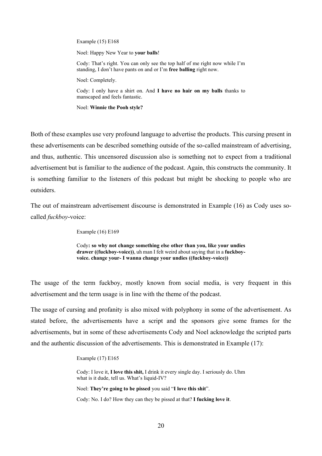Example (15) E168

Noel: Happy New Year to **your balls**!

Cody: That's right. You can only see the top half of me right now while I'm standing, I don't have pants on and or I'm **free balling** right now.

Noel: Completely.

Cody: I only have a shirt on. And **I have no hair on my balls** thanks to manscaped and feels fantastic.

Noel: **Winnie the Pooh style?**

Both of these examples use very profound language to advertise the products. This cursing present in these advertisements can be described something outside of the so-called mainstream of advertising, and thus, authentic. This uncensored discussion also is something not to expect from a traditional advertisement but is familiar to the audience of the podcast. Again, this constructs the community. It is something familiar to the listeners of this podcast but might be shocking to people who are outsiders.

The out of mainstream advertisement discourse is demonstrated in Example (16) as Cody uses socalled *fuckboy*-voice:

Example (16) E169

Cody**: so why not change something else other than you, like your undies drawer ((fuckboy-voice))**, uh man I felt weird about saying that in a **fuckboyvoice. change your- I wanna change your undies ((fuckboy-voice))**

The usage of the term fuckboy, mostly known from social media, is very frequent in this advertisement and the term usage is in line with the theme of the podcast.

The usage of cursing and profanity is also mixed with polyphony in some of the advertisement. As stated before, the advertisements have a script and the sponsors give some frames for the advertisements, but in some of these advertisements Cody and Noel acknowledge the scripted parts and the authentic discussion of the advertisements. This is demonstrated in Example (17):

Example (17) E165

Cody: I love it, **I love this shit,** I drink it every single day. I seriously do. Uhm what is it dude, tell us. What's liquid-IV?

Noel: **They're going to be pissed** you said "**I love this shit**".

Cody: No. I do? How they can they be pissed at that? **I fucking love it**.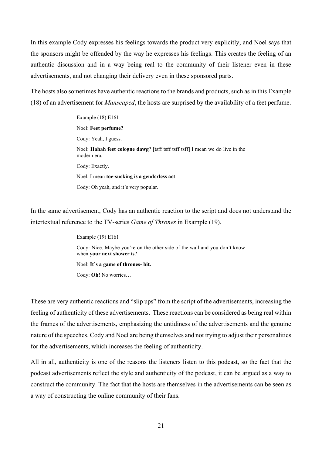In this example Cody expresses his feelings towards the product very explicitly, and Noel says that the sponsors might be offended by the way he expresses his feelings. This creates the feeling of an authentic discussion and in a way being real to the community of their listener even in these advertisements, and not changing their delivery even in these sponsored parts.

The hosts also sometimes have authentic reactions to the brands and products, such as in this Example (18) of an advertisement for *Manscaped*, the hosts are surprised by the availability of a feet perfume.

> Example (18) E161 Noel: **Feet perfume?** Cody: Yeah, I guess. Noel: **Hahah feet cologne dawg**? [tsff tsff tsff tsff] I mean we do live in the modern era. Cody: Exactly. Noel: I mean **toe-sucking is a genderless act**. Cody: Oh yeah, and it's very popular.

In the same advertisement, Cody has an authentic reaction to the script and does not understand the intertextual reference to the TV-series *Game of Thrones* in Example (19).

> Example (19) E161 Cody: Nice. Maybe you're on the other side of the wall and you don't know when **your next shower is**?

Noel: **It's a game of thrones- bit.**

Cody: **Oh!** No worries…

These are very authentic reactions and "slip ups" from the script of the advertisements, increasing the feeling of authenticity of these advertisements. These reactions can be considered as being real within the frames of the advertisements, emphasizing the untidiness of the advertisements and the genuine nature of the speeches. Cody and Noel are being themselves and not trying to adjust their personalities for the advertisements, which increases the feeling of authenticity.

All in all, authenticity is one of the reasons the listeners listen to this podcast, so the fact that the podcast advertisements reflect the style and authenticity of the podcast, it can be argued as a way to construct the community. The fact that the hosts are themselves in the advertisements can be seen as a way of constructing the online community of their fans.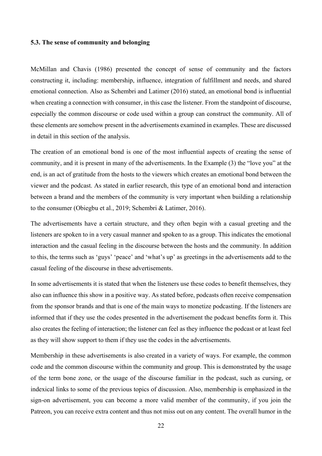### <span id="page-24-0"></span>**5.3. The sense of community and belonging**

McMillan and Chavis (1986) presented the concept of sense of community and the factors constructing it, including: membership, influence, integration of fulfillment and needs, and shared emotional connection. Also as Schembri and Latimer (2016) stated, an emotional bond is influential when creating a connection with consumer, in this case the listener. From the standpoint of discourse, especially the common discourse or code used within a group can construct the community. All of these elements are somehow present in the advertisements examined in examples. These are discussed in detail in this section of the analysis.

The creation of an emotional bond is one of the most influential aspects of creating the sense of community, and it is present in many of the advertisements. In the Example (3) the "love you" at the end, is an act of gratitude from the hosts to the viewers which creates an emotional bond between the viewer and the podcast. As stated in earlier research, this type of an emotional bond and interaction between a brand and the members of the community is very important when building a relationship to the consumer (Obiegbu et al., 2019; Schembri & Latimer, 2016).

The advertisements have a certain structure, and they often begin with a casual greeting and the listeners are spoken to in a very casual manner and spoken to as a group. This indicates the emotional interaction and the casual feeling in the discourse between the hosts and the community. In addition to this, the terms such as 'guys' 'peace' and 'what's up' as greetings in the advertisements add to the casual feeling of the discourse in these advertisements.

In some advertisements it is stated that when the listeners use these codes to benefit themselves, they also can influence this show in a positive way. As stated before, podcasts often receive compensation from the sponsor brands and that is one of the main ways to monetize podcasting. If the listeners are informed that if they use the codes presented in the advertisement the podcast benefits form it. This also creates the feeling of interaction; the listener can feel as they influence the podcast or at least feel as they will show support to them if they use the codes in the advertisements.

Membership in these advertisements is also created in a variety of ways. For example, the common code and the common discourse within the community and group. This is demonstrated by the usage of the term bone zone, or the usage of the discourse familiar in the podcast, such as cursing, or indexical links to some of the previous topics of discussion. Also, membership is emphasized in the sign-on advertisement, you can become a more valid member of the community, if you join the Patreon, you can receive extra content and thus not miss out on any content. The overall humor in the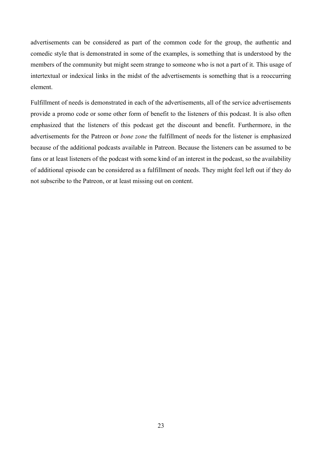advertisements can be considered as part of the common code for the group, the authentic and comedic style that is demonstrated in some of the examples, is something that is understood by the members of the community but might seem strange to someone who is not a part of it. This usage of intertextual or indexical links in the midst of the advertisements is something that is a reoccurring element.

Fulfillment of needs is demonstrated in each of the advertisements, all of the service advertisements provide a promo code or some other form of benefit to the listeners of this podcast. It is also often emphasized that the listeners of this podcast get the discount and benefit. Furthermore, in the advertisements for the Patreon or *bone zone* the fulfillment of needs for the listener is emphasized because of the additional podcasts available in Patreon. Because the listeners can be assumed to be fans or at least listeners of the podcast with some kind of an interest in the podcast, so the availability of additional episode can be considered as a fulfillment of needs. They might feel left out if they do not subscribe to the Patreon, or at least missing out on content.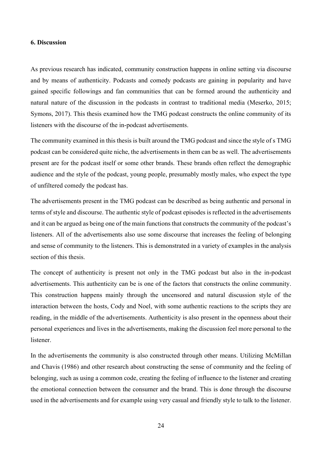## <span id="page-26-0"></span>**6. Discussion**

As previous research has indicated, community construction happens in online setting via discourse and by means of authenticity. Podcasts and comedy podcasts are gaining in popularity and have gained specific followings and fan communities that can be formed around the authenticity and natural nature of the discussion in the podcasts in contrast to traditional media (Meserko, 2015; Symons, 2017). This thesis examined how the TMG podcast constructs the online community of its listeners with the discourse of the in-podcast advertisements.

The community examined in this thesis is built around the TMG podcast and since the style of s TMG podcast can be considered quite niche, the advertisements in them can be as well. The advertisements present are for the podcast itself or some other brands. These brands often reflect the demographic audience and the style of the podcast, young people, presumably mostly males, who expect the type of unfiltered comedy the podcast has.

The advertisements present in the TMG podcast can be described as being authentic and personal in terms of style and discourse. The authentic style of podcast episodes is reflected in the advertisements and it can be argued as being one of the main functions that constructs the community of the podcast's listeners. All of the advertisements also use some discourse that increases the feeling of belonging and sense of community to the listeners. This is demonstrated in a variety of examples in the analysis section of this thesis.

The concept of authenticity is present not only in the TMG podcast but also in the in-podcast advertisements. This authenticity can be is one of the factors that constructs the online community. This construction happens mainly through the uncensored and natural discussion style of the interaction between the hosts, Cody and Noel, with some authentic reactions to the scripts they are reading, in the middle of the advertisements. Authenticity is also present in the openness about their personal experiences and lives in the advertisements, making the discussion feel more personal to the listener.

In the advertisements the community is also constructed through other means. Utilizing McMillan and Chavis (1986) and other research about constructing the sense of community and the feeling of belonging, such as using a common code, creating the feeling of influence to the listener and creating the emotional connection between the consumer and the brand. This is done through the discourse used in the advertisements and for example using very casual and friendly style to talk to the listener.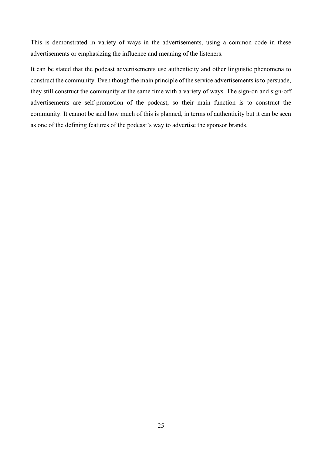This is demonstrated in variety of ways in the advertisements, using a common code in these advertisements or emphasizing the influence and meaning of the listeners.

It can be stated that the podcast advertisements use authenticity and other linguistic phenomena to construct the community. Even though the main principle of the service advertisements is to persuade, they still construct the community at the same time with a variety of ways. The sign-on and sign-off advertisements are self-promotion of the podcast, so their main function is to construct the community. It cannot be said how much of this is planned, in terms of authenticity but it can be seen as one of the defining features of the podcast's way to advertise the sponsor brands.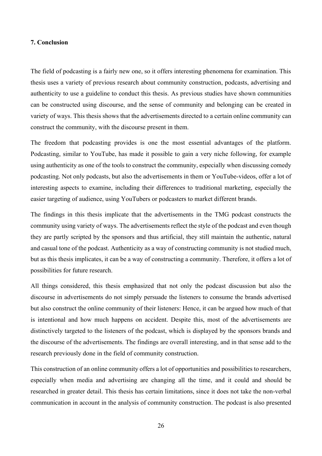### <span id="page-28-0"></span>**7. Conclusion**

The field of podcasting is a fairly new one, so it offers interesting phenomena for examination. This thesis uses a variety of previous research about community construction, podcasts, advertising and authenticity to use a guideline to conduct this thesis. As previous studies have shown communities can be constructed using discourse, and the sense of community and belonging can be created in variety of ways. This thesis shows that the advertisements directed to a certain online community can construct the community, with the discourse present in them.

The freedom that podcasting provides is one the most essential advantages of the platform. Podcasting, similar to YouTube, has made it possible to gain a very niche following, for example using authenticity as one of the tools to construct the community, especially when discussing comedy podcasting. Not only podcasts, but also the advertisements in them or YouTube-videos, offer a lot of interesting aspects to examine, including their differences to traditional marketing, especially the easier targeting of audience, using YouTubers or podcasters to market different brands.

The findings in this thesis implicate that the advertisements in the TMG podcast constructs the community using variety of ways. The advertisements reflect the style of the podcast and even though they are partly scripted by the sponsors and thus artificial, they still maintain the authentic, natural and casual tone of the podcast. Authenticity as a way of constructing community is not studied much, but as this thesis implicates, it can be a way of constructing a community. Therefore, it offers a lot of possibilities for future research.

All things considered, this thesis emphasized that not only the podcast discussion but also the discourse in advertisements do not simply persuade the listeners to consume the brands advertised but also construct the online community of their listeners: Hence, it can be argued how much of that is intentional and how much happens on accident. Despite this, most of the advertisements are distinctively targeted to the listeners of the podcast, which is displayed by the sponsors brands and the discourse of the advertisements. The findings are overall interesting, and in that sense add to the research previously done in the field of community construction.

This construction of an online community offers a lot of opportunities and possibilities to researchers, especially when media and advertising are changing all the time, and it could and should be researched in greater detail. This thesis has certain limitations, since it does not take the non-verbal communication in account in the analysis of community construction. The podcast is also presented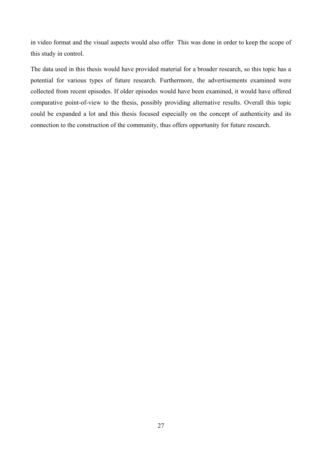in video format and the visual aspects would also offer This was done in order to keep the scope of this study in control.

The data used in this thesis would have provided material for a broader research, so this topic has a potential for various types of future research. Furthermore, the advertisements examined were collected from recent episodes. If older episodes would have been examined, it would have offered comparative point-of-view to the thesis, possibly providing alternative results. Overall this topic could be expanded a lot and this thesis focused especially on the concept of authenticity and its connection to the construction of the community, thus offers opportunity for future research.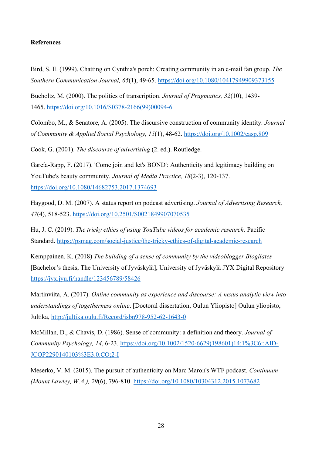## <span id="page-30-0"></span>**References**

Bird, S. E. (1999). Chatting on Cynthia's porch: Creating community in an e-mail fan group. *The Southern Communication Journal, 65*(1), 49-65.<https://doi.org/10.1080/10417949909373155>

Bucholtz, M. (2000). The politics of transcription. *Journal of Pragmatics, 32*(10), 1439- 1465. [https://doi.org/10.1016/S0378-2166\(99\)00094-6](https://doi.org/10.1016/S0378-2166(99)00094-6)

Colombo, M., & Senatore, A. (2005). The discursive construction of community identity. *Journal of Community & Applied Social Psychology, 15*(1), 48-62. <https://doi.org/10.1002/casp.809>

Cook, G. (2001). *The discourse of advertising* (2. ed.). Routledge.

García-Rapp, F. (2017). 'Come join and let's BOND': Authenticity and legitimacy building on YouTube's beauty community. *Journal of Media Practice, 18*(2-3), 120-137. <https://doi.org/10.1080/14682753.2017.1374693>

Haygood, D. M. (2007). A status report on podcast advertising. *Journal of Advertising Research, 47*(4), 518-523.<https://doi.org/10.2501/S0021849907070535>

Hu, J. C. (2019). *The tricky ethics of using YouTube videos for academic research.* Pacific Standard. <https://psmag.com/social-justice/the-tricky-ethics-of-digital-academic-research>

Kemppainen, K. (2018) *The building of a sense of community by the videoblogger Blogilates*  [Bachelor's thesis, The University of Jyväskylä], University of Jyväskylä JYX Digital Repository <https://jyx.jyu.fi/handle/123456789/58426>

Martinviita, A. (2017). *Online community as experience and discourse: A nexus analytic view into understandings of togetherness online*. [Doctoral dissertation, Oulun Yliopisto] Oulun yliopisto, Jultika,<http://jultika.oulu.fi/Record/isbn978-952-62-1643-0>

McMillan, D., & Chavis, D. (1986). Sense of community: a definition and theory. *Journal of Community Psychology, 14*, 6-23. [https://doi.org/10.1002/1520-6629\(198601\)14:1%3C6::AID-](https://doi.org/10.1002/1520-6629(198601)14:1%3C6::AID-JCOP2290140103%3E3.0.CO;2-I)[JCOP2290140103%3E3.0.CO;2-I](https://doi.org/10.1002/1520-6629(198601)14:1%3C6::AID-JCOP2290140103%3E3.0.CO;2-I)

Meserko, V. M. (2015). The pursuit of authenticity on Marc Maron's WTF podcast. *Continuum (Mount Lawley, W.A.), 29*(6), 796-810.<https://doi.org/10.1080/10304312.2015.1073682>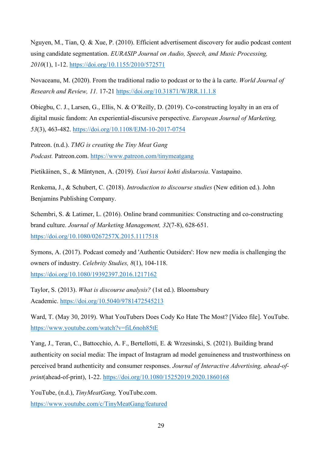Nguyen, M., Tian, Q. & Xue, P. (2010). Efficient advertisement discovery for audio podcast content using candidate segmentation. *EURASIP Journal on Audio, Speech, and Music Processing, 2010*(1), 1-12.<https://doi.org/10.1155/2010/572571>

Novaceanu, M. (2020). From the traditional radio to podcast or to the à la carte. *World Journal of Research and Review, 11.* 17-21 <https://doi.org/10.31871/WJRR.11.1.8>

Obiegbu, C. J., Larsen, G., Ellis, N. & O'Reilly, D. (2019). Co-constructing loyalty in an era of digital music fandom: An experiential-discursive perspective. *European Journal of Marketing, 53*(3), 463-482.<https://doi.org/10.1108/EJM-10-2017-0754>

Patreon. (n.d.). *TMG is creating the Tiny Meat Gang Podcast.* Patreon.com. <https://www.patreon.com/tinymeatgang>

Pietikäinen, S., & Mäntynen, A. (2019). *Uusi kurssi kohti diskurssia*. Vastapaino.

Renkema, J., & Schubert, C. (2018). *Introduction to discourse studies* (New edition ed.). John Benjamins Publishing Company.

Schembri, S. & Latimer, L. (2016). Online brand communities: Constructing and co-constructing brand culture. *Journal of Marketing Management, 32*(7-8), 628-651. <https://doi.org/10.1080/0267257X.2015.1117518>

Symons, A. (2017). Podcast comedy and 'Authentic Outsiders': How new media is challenging the owners of industry. *Celebrity Studies, 8*(1), 104-118. <https://doi.org/10.1080/19392397.2016.1217162>

Taylor, S. (2013). *What is discourse analysis?* (1st ed.). Bloomsbury Academic. <https://doi.org/10.5040/9781472545213>

Ward, T. (May 30, 2019). What YouTubers Does Cody Ko Hate The Most? [Video file]. YouTube. <https://www.youtube.com/watch?v=fiL6noh85tE>

Yang, J., Teran, C., Battocchio, A. F., Bertellotti, E. & Wrzesinski, S. (2021). Building brand authenticity on social media: The impact of Instagram ad model genuineness and trustworthiness on perceived brand authenticity and consumer responses. *Journal of Interactive Advertising, ahead-ofprint*(ahead-of-print), 1-22.<https://doi.org/10.1080/15252019.2020.1860168>

YouTube, (n.d.), *TinyMeatGang,* YouTube.com. <https://www.youtube.com/c/TinyMeatGang/featured>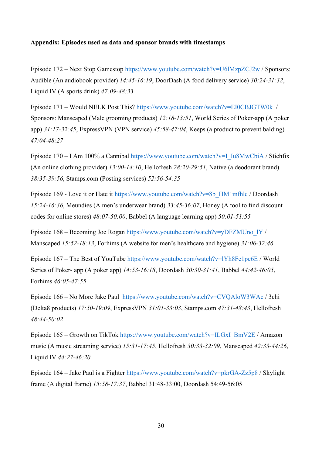### <span id="page-32-0"></span>**Appendix: Episodes used as data and sponsor brands with timestamps**

Episode 172 – Next Stop Gamestop<https://www.youtube.com/watch?v=U6lMzpZCJ2w> / Sponsors: Audible (An audiobook provider) *14:45-16:19*, DoorDash (A food delivery service) *30:24-31:32*, Liquid IV (A sports drink) *47:09-48:33*

Episode 171 – Would NELK Post This? <https://www.youtube.com/watch?v=EI0CBJGTW0k>/ Sponsors: Manscaped (Male grooming products) *12:18-13:51*, World Series of Poker-app (A poker app) *31:17-32:45*, ExpressVPN (VPN service) *45:58-47:04*, Keeps (a product to prevent balding) *47:04-48:27*

Episode 170 – I Am 100% a Cannibal [https://www.youtube.com/watch?v=I\\_Iu8MwCbiA](https://www.youtube.com/watch?v=I_Iu8MwCbiA) / Stichfix (An online clothing provider) *13:00-14:10*, Hellofresh *28:20-29:51*, Native (a deodorant brand) *38:35-39:56*, Stamps.com (Posting services) *52:56-54:35*

Episode 169 - Love it or Hate it [https://www.youtube.com/watch?v=8b\\_HM1mfhlc](https://www.youtube.com/watch?v=8b_HM1mfhlc) / Doordash *15:24-16:36*, Meundies (A men's underwear brand) *33:45-36:07*, Honey (A tool to find discount codes for online stores) *48:07-50:00*, Babbel (A language learning app) *50:01-51:55*

Episode 168 – Becoming Joe Rogan [https://www.youtube.com/watch?v=yDFZMUno\\_lY](https://www.youtube.com/watch?v=yDFZMUno_lY) / Manscaped *15:52-18:13*, Forhims (A website for men's healthcare and hygiene) *31:06-32:46*

Episode 167 – The Best of YouTube<https://www.youtube.com/watch?v=lYh8Fe1pe6E> / World Series of Poker- app (A poker app) *14:53-16:18*, Doordash *30:30-31:41*, Babbel *44:42-46:05*, Forhims *46:05-47:55*

Episode 166 – No More Jake Paul <https://www.youtube.com/watch?v=CVQAloW3WAc> / 3chi (Delta8 products) *17:50-19:09*, ExpressVPN *31:01-33:03*, Stamps.com *47:31-48:43*, Hellofresh *48:44-50:02*

Episode 165 – Growth on TikTok [https://www.youtube.com/watch?v=ILGxI\\_BmV2E](https://www.youtube.com/watch?v=ILGxI_BmV2E) / Amazon music (A music streaming service) *15:31-17:45*, Hellofresh *30:33-32:09*, Manscaped *42:33-44:26*, Liquid IV *44:27-46:20*

Episode 164 – Jake Paul is a Fighter<https://www.youtube.com/watch?v=pkrGA-Zz5p8> / Skylight frame (A digital frame) *15:58-17:37*, Babbel 31:48-33:00, Doordash 54:49-56:05